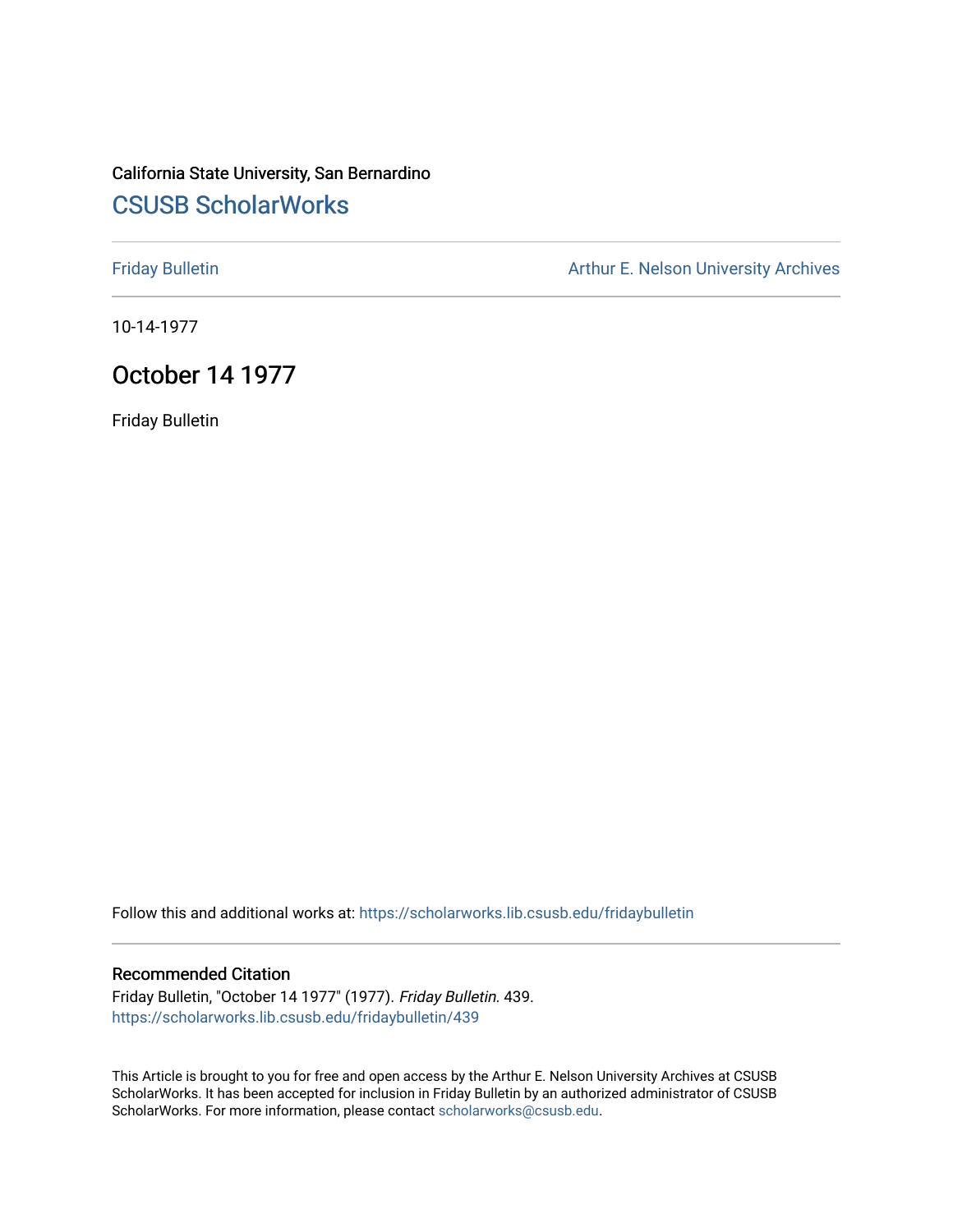# California State University, San Bernardino [CSUSB ScholarWorks](https://scholarworks.lib.csusb.edu/)

[Friday Bulletin](https://scholarworks.lib.csusb.edu/fridaybulletin) **Arthur E. Nelson University Archives** Arthur E. Nelson University Archives

10-14-1977

## October 14 1977

Friday Bulletin

Follow this and additional works at: [https://scholarworks.lib.csusb.edu/fridaybulletin](https://scholarworks.lib.csusb.edu/fridaybulletin?utm_source=scholarworks.lib.csusb.edu%2Ffridaybulletin%2F439&utm_medium=PDF&utm_campaign=PDFCoverPages)

### Recommended Citation

Friday Bulletin, "October 14 1977" (1977). Friday Bulletin. 439. [https://scholarworks.lib.csusb.edu/fridaybulletin/439](https://scholarworks.lib.csusb.edu/fridaybulletin/439?utm_source=scholarworks.lib.csusb.edu%2Ffridaybulletin%2F439&utm_medium=PDF&utm_campaign=PDFCoverPages)

This Article is brought to you for free and open access by the Arthur E. Nelson University Archives at CSUSB ScholarWorks. It has been accepted for inclusion in Friday Bulletin by an authorized administrator of CSUSB ScholarWorks. For more information, please contact [scholarworks@csusb.edu.](mailto:scholarworks@csusb.edu)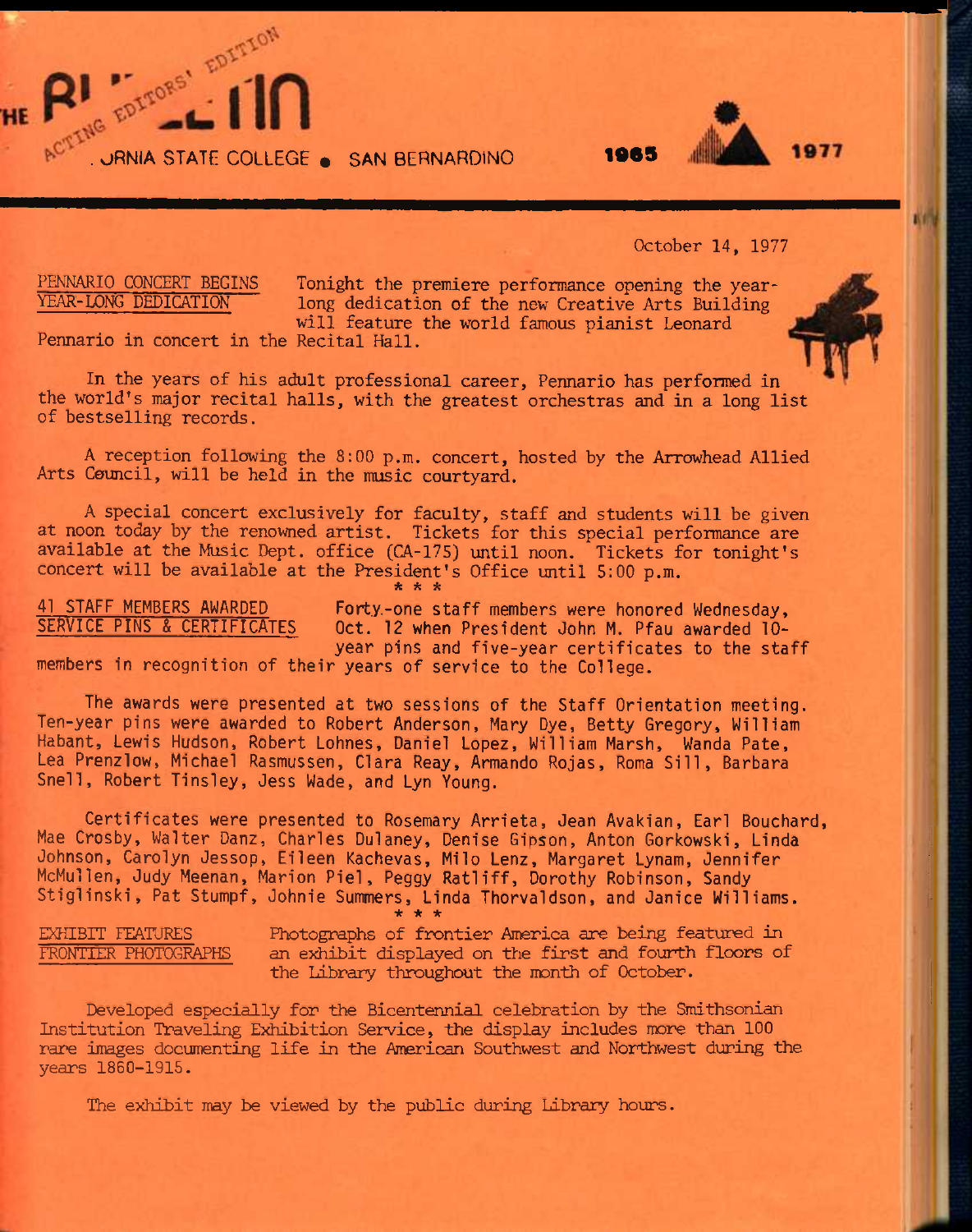ACTENG EDITOM - 1 1

### October 14, 1977

HE

PENNARIO CONCERT BEGINS Tonight the premiere performance opening the year-<br>YEAR-LONG DEDICATION 10ng dedication of the new Creative Arts Building long dedication of the new Creative Arts Building will feature the world famous pianist Leonard

Pennario in concert in the Recital Hall.

In the years of his adult professional career, Pennario has performed in the world's major recital halls, with the greatest orchestras and in a long list of bestselling records.

A reception following the 8:00 p.m. concert, hosted by the Arrowhead Allied Arts Council, will be held in the music courtyard.

A special concert exclusively for faculty, staff and students will be given at noon today by the renowned artist. Tickets for this special performance are available at the Music Dept. office (CA-175) until noon. Tickets for tonight's concert will be available at the President's Office until 5:00 p.m. **\* \* \*** 

41 STAFF MEMBERS AWARDED Forty.-one staff members were honored Wednesday,<br>SERVICE PINS & CERTIFICATES 0ct. 12 when President John M. Pfau awarded 10-Oct. 12 when President John M. Pfau awarded 10year pins and five-year certificates to the staff

members in recognition of their years of service to the College.

The awards were presented at two sessions of the Staff Orientation meeting. Ten-year pins were awarded to Robert Anderson, Mary Dye, Betty Gregory, William Habant, Lewis Hudson, Robert Lohnes, Daniel Lopez, William Marsh, Wanda Pate, Lea Prenzlow, Michael Rasmussen, Clara Reay, Armando Rojas, Roma Sill, Barbara Snell, Robert Tinsley, Jess Wade, and Lyn Young.

Certificates were presented to Rosemary Arrieta, Jean Avakian, Earl Bouchard, Mae Crosby, Walter Danz, Charles Dulaney, Denise Gipson, Anton Gorkowski, Linda Johnson, Carolyn Jessop, Eileen Kachevas, Mi1o Lenz, Margaret Lynam, Jennifer McMullen, Judy Meenan, Marion Piel, Peggy Ratliff, Dorothy Robinson, Sandy Stiglinski, Pat Stumpf, Johnie Summers, Linda Thorvaldson, and Janice Williams. **\* \* \*** 

EXHIBIT FEATURES Photographs of frontier America are being featured in FRONTIER PHOTOGRAPHS an exhibit displayed on the first and fourth floors of the Library throughout the month of October.

Developed especially for the Bicentennial celebration by the Smithsonian Institution Traveling Exhibition Service, the display includes more than 100 rare images documenting life in the American Southwest and Northwest during the years 1860-1915.

The exhibit may be viewed by the public during Library hours.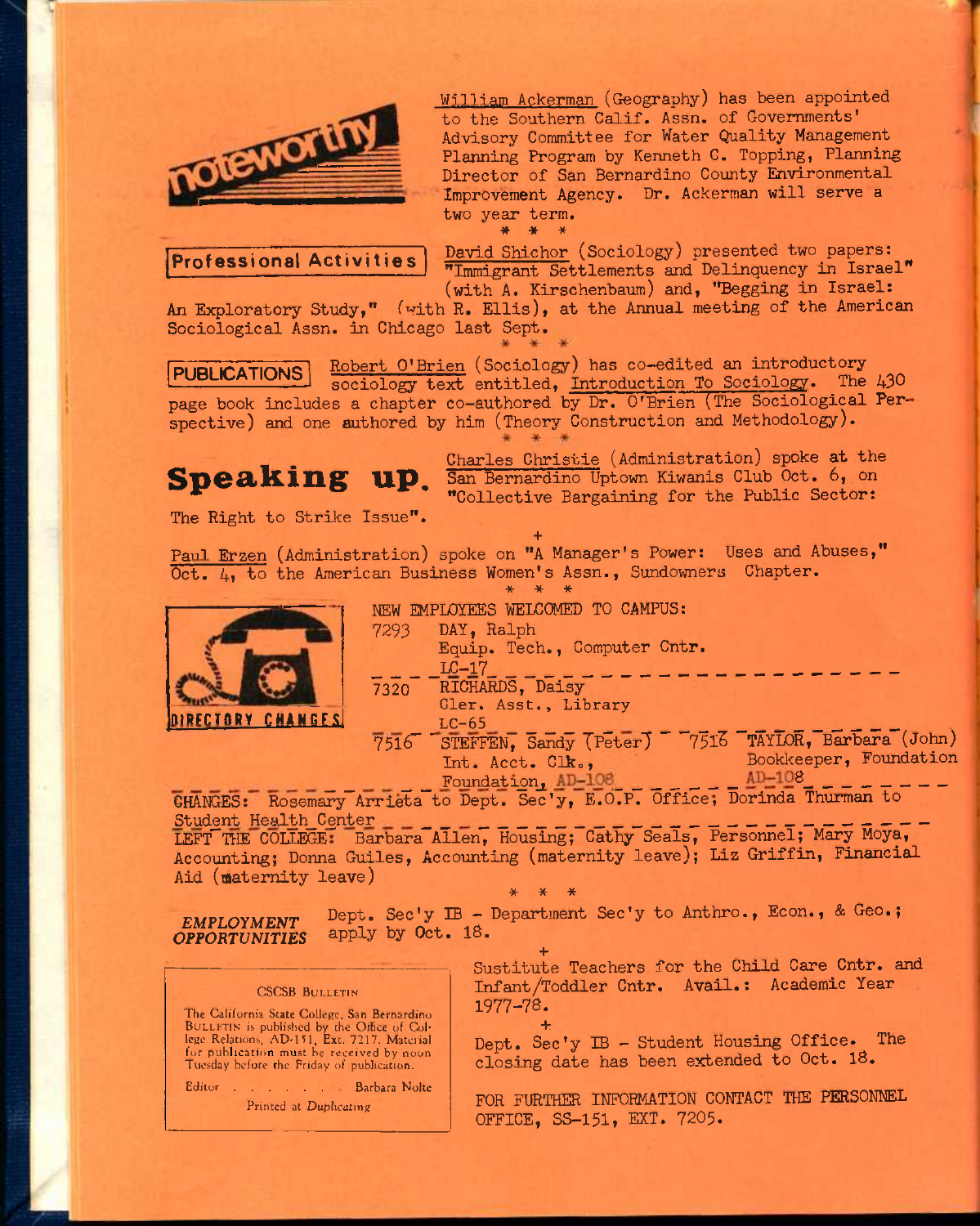

William Ackerman (Geography) has been appointed to the Southern Calif. Assn. of Governments' Advisory Committee for Water Quality Management Planning Program by Kenneth C. Topping, Planning Director of San Bernardino County Environmental Improvement Agency. Dr. Ackerman will serve a two year term. **\* \* \*** 

Professional Activities

David Shichor (Sociology) presented two papers: "Immigrant Settlements and Delinquency in Israel" (with A. Kirschenbaum) and, "Begging in Israel:

An Exploratory Study," (with R. Ellis), at the Annual meeting of the American Sociological Assn. in Chicago last Sept.

**PUBLICATIONS** Robert O'Brien (Sociology) has co-edited an introductory sociology text entitled, Introduction To Sociology. The 430 page book includes a chapter co-authored by Dr. O'Brien (The Sociological Perspective) and one authored by him (Theory Construction and Methodology).

# **Speaking up.**

Charles Christie (Administration) spoke at the San Bernardino Uptown Kiwanis Club Oct. 6, on "Collective Bargaining for the Public Sector:

The Right to Strike Issue".

Paul Erzen (Administration) spoke on "A Manager's Power: Uses and Abuses," Oct. 4, to the American Business Women's Assn., Sundowners Chapter.<br>\* \* \* \*

**+** 



| NEW EMPLOYEES WELCOMED TO CAMPUS:                        |
|----------------------------------------------------------|
| DAY, Ralph<br>7293                                       |
| Equip. Tech., Computer Cntr.                             |
| $LC-17$                                                  |
| 7320 RICHARDS, Daisy                                     |
| Gler. Asst., Library                                     |
| $LC-65$                                                  |
| 7516 STEFFEN, Sandy (Peter) 77516 TAYLOR, Barbara (John) |
| Bookkeeper, Foundation<br>Int. Acct. Clk.,               |

Foundation,  $AD-108$ ,  $AD-108$ CHANGES: Rosemary Arrieta to Dept. Sec'y, E.O.P. Office, Dorinda Thurman to Student Health\_Center

LEFT THE COLLEGE Barbara Allen, Housing; Cathy Seals, Personnel; Mary Moya, Accounting; Donna Guiles, Accounting (maternity leave); Liz Griffin, Financial Aid (maternity leave) \* \* \*

*EMPLOYMENT OPPORTUNITIES*  Dept. Sec'y IB - Department Sec'y to Anthro., Econ., & Geo.; apply by Oct. 18.

### CSCSB BULLETIN

The California State College, San Bernardino BULLETIN is published by the Office of Col-<br>lege Relations, AD-151, Ext. 7217. Material fur publication must he received by noon Tuesday before the Friday of publication.

Editor . . . . . Barbara Nolte Printed at Duplicating

**+**  Sustitute Teachers for the Child Care Cntr. and Infant/Toddler Cntr. Avail.: Academic Year 1977-78.

**+**  Dept. Sec'y IB - Student Housing Office. The closing date has been extended to Oct. 18,

FOR FURTHER INFORMATION CONTACT THE PERSONNEL OFFICE, SS-151, EXT. 7205.